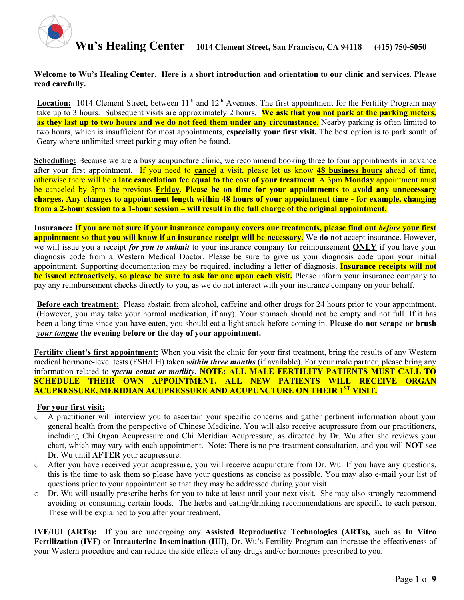

#### **Welcome to Wu's Healing Center. Here is a short introduction and orientation to our clinic and services. Please read carefully.**

**Location:** 1014 Clement Street, between  $11<sup>th</sup>$  and  $12<sup>th</sup>$  Avenues. The first appointment for the Fertility Program may take up to 3 hours. Subsequent visits are approximately 2 hours. **We ask that you not park at the parking meters, as they last up to two hours and we do not feed them under any circumstance.** Nearby parking is often limited to two hours, which is insufficient for most appointments, **especially your first visit.** The best option is to park south of Geary where unlimited street parking may often be found.

**Scheduling:** Because we are a busy acupuncture clinic, we recommend booking three to four appointments in advance after your first appointment. If you need to **cancel** a visit, please let us know **48 business hours** ahead of time, otherwise there will be a **late cancellation fee equal to the cost of your treatment**. A 3pm **Monday** appointment must be canceled by 3pm the previous **Friday**. **Please be on time for your appointments to avoid any unnecessary charges. Any changes to appointment length within 48 hours of your appointment time - for example, changing from a 2-hour session to a 1-hour session – will result in the full charge of the original appointment.** 

**Insurance: If you are not sure if your insurance company covers our treatments, please find out** *before* **your first appointment so that you will know if an insurance receipt will be necessary.** We **do not** accept insurance. However, we will issue you a receipt *for you to submit* to your insurance company for reimbursement **ONLY** if you have your diagnosis code from a Western Medical Doctor. Please be sure to give us your diagnosis code upon your initial appointment. Supporting documentation may be required, including a letter of diagnosis. **Insurance receipts will not be issued retroactively, so please be sure to ask for one upon each visit.** Please inform your insurance company to pay any reimbursement checks directly to you, as we do not interact with your insurance company on your behalf.

**Before each treatment:** Please abstain from alcohol, caffeine and other drugs for 24 hours prior to your appointment. (However, you may take your normal medication, if any). Your stomach should not be empty and not full. If it has been a long time since you have eaten, you should eat a light snack before coming in. **Please do not scrape or brush**  *your tongue* **the evening before or the day of your appointment.** 

**Fertility client's first appointment:** When you visit the clinic for your first treatment, bring the results of any Western medical hormone-level tests (FSH/LH) taken *within three months* (if available). For your male partner, please bring any information related to *sperm count or motility*. **NOTE: ALL MALE FERTILITY PATIENTS MUST CALL TO SCHEDULE THEIR OWN APPOINTMENT. ALL NEW PATIENTS WILL RECEIVE ORGAN ACUPRESSURE, MERIDIAN ACUPRESSURE AND ACUPUNCTURE ON THEIR 1ST VISIT.**

#### **For your first visit:**

- o A practitioner will interview you to ascertain your specific concerns and gather pertinent information about your general health from the perspective of Chinese Medicine. You will also receive acupressure from our practitioners, including Chi Organ Acupressure and Chi Meridian Acupressure, as directed by Dr. Wu after she reviews your chart, which may vary with each appointment. Note: There is no pre-treatment consultation, and you will **NOT** see Dr. Wu until **AFTER** your acupressure.
- o After you have received your acupressure, you will receive acupuncture from Dr. Wu. If you have any questions, this is the time to ask them so please have your questions as concise as possible. You may also e-mail your list of questions prior to your appointment so that they may be addressed during your visit
- o Dr. Wu will usually prescribe herbs for you to take at least until your next visit. She may also strongly recommend avoiding or consuming certain foods. The herbs and eating/drinking recommendations are specific to each person. These will be explained to you after your treatment.

**IVF/IUI (ARTs):** If you are undergoing any **Assisted Reproductive Technologies (ARTs),** such as **In Vitro Fertilization (IVF)** or **Intrauterine Insemination (IUI),** Dr. Wu's Fertility Program can increase the effectiveness of your Western procedure and can reduce the side effects of any drugs and/or hormones prescribed to you.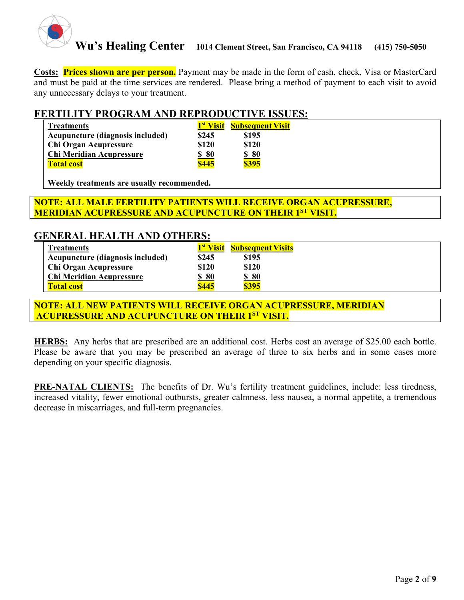

**Costs: Prices shown are per person.** Payment may be made in the form of cash, check, Visa or MasterCard and must be paid at the time services are rendered. Please bring a method of payment to each visit to avoid any unnecessary delays to your treatment.

### **FERTILITY PROGRAM AND REPRODUCTIVE ISSUES:**

| <b>Treatments</b>                |       | 1 <sup>st</sup> Visit Subsequent Visit |  |
|----------------------------------|-------|----------------------------------------|--|
| Acupuncture (diagnosis included) | \$245 | \$195                                  |  |
| <b>Chi Organ Acupressure</b>     | \$120 | \$120                                  |  |
| <b>Chi Meridian Acupressure</b>  | \$80  | \$80                                   |  |
| <b>Total cost</b>                | \$445 | \$395                                  |  |

**Weekly treatments are usually recommended.** 

### **NOTE: ALL MALE FERTILITY PATIENTS WILL RECEIVE ORGAN ACUPRESSURE, MERIDIAN ACUPRESSURE AND ACUPUNCTURE ON THEIR 1ST VISIT.**

### **GENERAL HEALTH AND OTHERS:**

| <b>Treatments</b>                | 1 <sup>st</sup> Visit | <b>Subsequent Visits</b> |
|----------------------------------|-----------------------|--------------------------|
| Acupuncture (diagnosis included) | \$245                 | \$195                    |
| Chi Organ Acupressure            | \$120                 | \$120                    |
| Chi Meridian Acupressure         | <u>\$80</u>           | <u>\$80</u>              |
| <b>Total cost</b>                | \$445                 | \$395                    |

**NOTE: ALL NEW PATIENTS WILL RECEIVE ORGAN ACUPRESSURE, MERIDIAN ACUPRESSURE AND ACUPUNCTURE ON THEIR 1ST VISIT.**

**HERBS:** Any herbs that are prescribed are an additional cost. Herbs cost an average of \$25.00 each bottle. Please be aware that you may be prescribed an average of three to six herbs and in some cases more depending on your specific diagnosis.

**PRE-NATAL CLIENTS:** The benefits of Dr. Wu's fertility treatment guidelines, include: less tiredness, increased vitality, fewer emotional outbursts, greater calmness, less nausea, a normal appetite, a tremendous decrease in miscarriages, and full-term pregnancies.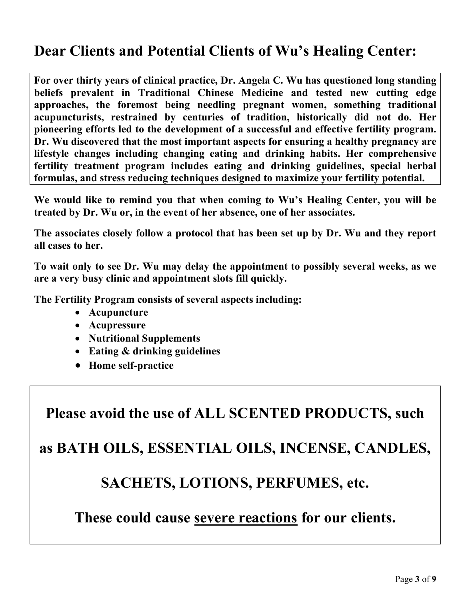# **Dear Clients and Potential Clients of Wu's Healing Center:**

**For over thirty years of clinical practice, Dr. Angela C. Wu has questioned long standing beliefs prevalent in Traditional Chinese Medicine and tested new cutting edge approaches, the foremost being needling pregnant women, something traditional acupuncturists, restrained by centuries of tradition, historically did not do. Her pioneering efforts led to the development of a successful and effective fertility program. Dr. Wu discovered that the most important aspects for ensuring a healthy pregnancy are lifestyle changes including changing eating and drinking habits. Her comprehensive fertility treatment program includes eating and drinking guidelines, special herbal formulas, and stress reducing techniques designed to maximize your fertility potential.** 

**We would like to remind you that when coming to Wu's Healing Center, you will be treated by Dr. Wu or, in the event of her absence, one of her associates.**

**The associates closely follow a protocol that has been set up by Dr. Wu and they report all cases to her.** 

**To wait only to see Dr. Wu may delay the appointment to possibly several weeks, as we are a very busy clinic and appointment slots fill quickly.**

**The Fertility Program consists of several aspects including:** 

- **Acupuncture**
- **Acupressure**
- **Nutritional Supplements**
- **Eating & drinking guidelines**
- **Home self-practice**

**Please avoid the use of ALL SCENTED PRODUCTS, such**

**as BATH OILS, ESSENTIAL OILS, INCENSE, CANDLES,**

### **SACHETS, LOTIONS, PERFUMES, etc.**

**These could cause severe reactions for our clients.**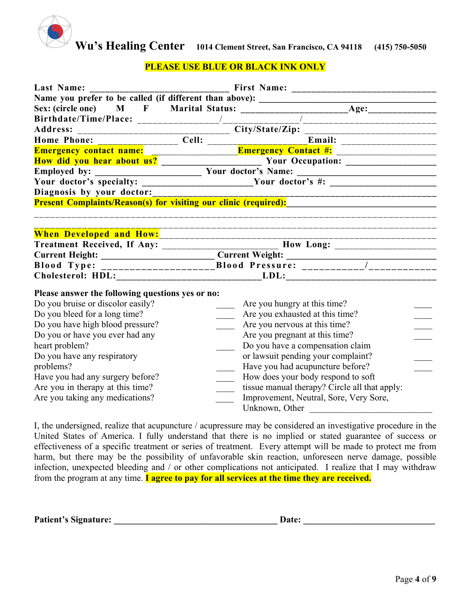

### **PLEASE USE BLUE OR BLACK INK ONLY**

| Last Name:                                                                        |  |                                                                                                      |  |  |  |  |
|-----------------------------------------------------------------------------------|--|------------------------------------------------------------------------------------------------------|--|--|--|--|
| Name you prefer to be called (if different than above): _________________________ |  |                                                                                                      |  |  |  |  |
|                                                                                   |  |                                                                                                      |  |  |  |  |
|                                                                                   |  | _____________________________                                                                        |  |  |  |  |
|                                                                                   |  |                                                                                                      |  |  |  |  |
|                                                                                   |  |                                                                                                      |  |  |  |  |
|                                                                                   |  |                                                                                                      |  |  |  |  |
|                                                                                   |  |                                                                                                      |  |  |  |  |
|                                                                                   |  |                                                                                                      |  |  |  |  |
|                                                                                   |  | Your doctor's specialty: _______________________Your doctor's #: ________________                    |  |  |  |  |
| Diagnosis by your doctor:                                                         |  |                                                                                                      |  |  |  |  |
|                                                                                   |  | Present Complaints/Reason(s) for visiting our clinic (required):                                     |  |  |  |  |
|                                                                                   |  |                                                                                                      |  |  |  |  |
|                                                                                   |  |                                                                                                      |  |  |  |  |
|                                                                                   |  |                                                                                                      |  |  |  |  |
|                                                                                   |  | Treatment Received, If Any: _________________________________ How Long: ____________________________ |  |  |  |  |
|                                                                                   |  |                                                                                                      |  |  |  |  |
|                                                                                   |  |                                                                                                      |  |  |  |  |
|                                                                                   |  |                                                                                                      |  |  |  |  |
| Please answer the following questions yes or no:                                  |  |                                                                                                      |  |  |  |  |
| Do you bruise or discolor easily?                                                 |  | Are you hungry at this time?                                                                         |  |  |  |  |
| Do you bleed for a long time?                                                     |  | Are you exhausted at this time?                                                                      |  |  |  |  |
| Do you have high blood pressure?                                                  |  | Are you nervous at this time?                                                                        |  |  |  |  |
| Do you or have you ever had any                                                   |  | Are you pregnant at this time?                                                                       |  |  |  |  |
| heart problem?                                                                    |  | Do you have a compensation claim                                                                     |  |  |  |  |
| Do you have any respiratory                                                       |  | or lawsuit pending your complaint?                                                                   |  |  |  |  |
| problems?                                                                         |  | Have you had acupuncture before?                                                                     |  |  |  |  |
| Have you had any surgery before?                                                  |  | How does your body respond to soft                                                                   |  |  |  |  |
| Are you in therapy at this time?                                                  |  | tissue manual therapy? Circle all that apply:                                                        |  |  |  |  |
| Are you taking any medications?                                                   |  | Improvement, Neutral, Sore, Very Sore,                                                               |  |  |  |  |
|                                                                                   |  | Unknown, Other                                                                                       |  |  |  |  |

I, the undersigned, realize that acupuncture / acupressure may be considered an investigative procedure in the United States of America. I fully understand that there is no implied or stated guarantee of success or effectiveness of a specific treatment or series of treatment. Every attempt will be made to protect me from harm, but there may be the possibility of unfavorable skin reaction, unforeseen nerve damage, possible infection, unexpected bleeding and / or other complications not anticipated. I realize that I may withdraw from the program at any time. **I agree to pay for all services at the time they are received.** 

| <b>Patient's Signature:</b> | Date: |  |
|-----------------------------|-------|--|
|                             |       |  |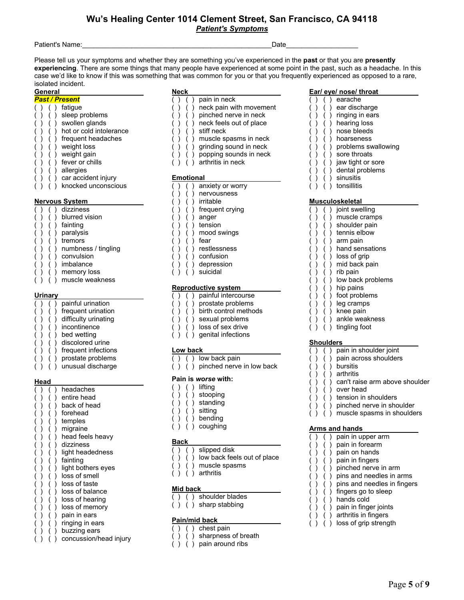#### **Wu's Healing Center 1014 Clement Street, San Francisco, CA 94118** *Patient's Symptoms*

Patient's Name: The Contract of the Contract of the Contract of the Contract of the Contract of the Contract of the Contract of the Contract of the Contract of the Contract of the Contract of the Contract of the Contract o

Please tell us your symptoms and whether they are something you've experienced in the **past** or that you are **presently experiencing**. There are some things that many people have experienced at some point in the past, such as a headache. In this case we'd like to know if this was something that was common for you or that you frequently experienced as opposed to a rare, isolated incident.

#### **General**

- *Past / Present*  ( ) ( ) fatigue ( ) ( ) sleep problems ( ) ( ) swollen glands
- $( ) ( )$  ( ) hot or cold intolerance
- ( ) ( ) frequent headaches
- ( ) ( ) weight loss
- ( ) ( ) weight gain
- ( ) ( ) fever or chills
- 
- ( ) ( ) allergies
- ( ) ( ) car accident injury

#### **Nervous System**

- $( )$   $( )$  dizziness ( ) ( ) blurred vision ( ) ( ) fainting
- ( ) ( ) paralysis
- ( ) ( ) tremors
- 
- ( ) ( ) numbness / tingling
- $( )$   $( )$  convulsion
- ( ) ( ) imbalance
- ( ) ( ) memory loss
- ( ) ( ) muscle weakness

#### **Urinary**

- ( ) ( ) painful urination ( ) ( ) frequent urination ( ) ( ) difficulty urinating
- ( ) ( ) incontinence
- ( ) ( ) bed wetting
- ( ) ( ) discolored urine
- ( ) ( ) frequent infections
- ( ) ( ) prostate problems
- ( ) ( ) unusual discharge

#### **Head**

|  |  | headaches              |
|--|--|------------------------|
|  |  | entire head            |
|  |  | back of head           |
|  |  | forehead               |
|  |  | temples                |
|  |  | migraine               |
|  |  | head feels heavy       |
|  |  | dizziness              |
|  |  | light headedness       |
|  |  | fainting               |
|  |  | light bothers eyes     |
|  |  | loss of smell          |
|  |  | loss of taste          |
|  |  | loss of balance        |
|  |  | loss of hearing        |
|  |  | loss of memory         |
|  |  | pain in ears           |
|  |  | ringing in ears        |
|  |  | buzzing ears           |
|  |  | concussion/head injury |

- **Neck**<br>( ) ( ) pain in neck ( ) ( ) pain in neck
- ( ) ( ) neck pain with movement
- ( ) ( ) pinched nerve in neck
- ( ) ( ) neck feels out of place
- ( ) ( ) stiff neck
- ( ) ( ) muscle spasms in neck
- ( ) ( ) grinding sound in neck
- ( ) ( ) popping sounds in neck
- ( ) ( ) arthritis in neck

#### **Emotional**

- ( ) ( ) knocked unconscious ( ) ( ) anxiety or worry
	- ( ) ( ) nervousness
	- ( ) ( ) irritable
	- ( ) ( ) frequent crying
	- ( ) ( ) anger
	- ( ) ( ) tension
	- ( ) ( ) mood swings
	- ( ) ( ) fear
		- ( ) ( ) restlessness
		- ( ) ( ) confusion
		- ( ) ( ) depression
		- ( ) ( ) suicidal

#### **Reproductive system**

- ( ) ( ) painful intercourse
- ( ) ( ) prostate problems
- ( ) ( ) birth control methods
- ( ) ( ) sexual problems
- ( ) ( ) loss of sex drive
- $( )$   $( )$  sexual problems<br>  $( )$   $( )$  loss of sex drive<br>  $( )$   $( )$  genital infections

#### **Low back**

- ( ) ( ) low back pain
- $( )$  ( ) pinched nerve in low back

#### **Pain is** *worse* **with:**

- ( ) ( ) lifting
- ( ) ( ) stooping
- ( ) ( ) standing
- ( ) ( ) sitting
- $( )$   $( )$  bending
- ( ) ( ) coughing

#### **Back**

- ( ) ( ) slipped disk
- ( ) ( ) low back feels out of place
- ( ) ( ) muscle spasms
- ( ) ( ) arthritis

#### **Mid back**

- ( ) ( ) shoulder blades
- $( )$  ( ) sharp stabbing

#### **Pain/mid back**

- $( )$  chest pain
- ( ) ( ) sharpness of breath
- ( ) ( ) pain around ribs

#### **Ear/ eye/ nose/ throat**

- ( ) ( ) earache
- ( ) ( ) ear discharge
- ( ) ( ) ringing in ears
- ( ) ( ) hearing loss
- ( ) ( ) nose bleeds
- ( ) ( ) hoarseness
- ( ) ( ) problems swallowing

Page **5** of **9**

- ( ) ( ) sore throats
- ( ) ( ) jaw tight or sore
- $( )$   $( )$  dental problems<br> $( )$   $( )$  sinusitis

( ) ( ) muscle cramps ( ) ( ) shoulder pain ( ) ( ) tennis elbow ( ) ( ) arm pain ( ) ( ) hand sensations ( ) ( ) loss of grip ( ) ( ) mid back pain ( ) ( ) rib pain

( ) ( ) low back problems

( ) ( ) pain in shoulder joint ( ) ( ) pain across shoulders

( ) ( ) tension in shoulders ( ) ( ) pinched nerve in shoulder  $( )$   $( )$  muscle spasms in shoulders

( ) ( ) pain in upper arm ( ) ( ) pain in forearm ( ) ( ) pain on hands ( ) ( ) pain in fingers ( ) ( ) pinched nerve in arm ( ) ( ) pins and needles in arms ( ) ( ) pins and needles in fingers

 $( )$   $( )$  fingers go to sleep  $( )$   $( )$   $( )$  hands cold ( ) ( ) pain in finger joints ( ) ( ) arthritis in fingers ( ) ( ) loss of grip strength

( ) ( ) can't raise arm above shoulder

( ) ( ) hip pains ( ) ( ) foot problems ( ) ( ) leg cramps ( ) ( ) knee pain ( ) ( ) ankle weakness ( ) ( ) tingling foot

**Shoulders** 

( ) ( ) bursitis ( ) ( ) arthritis

( ) ( ) over head

**Arms and hands** 

- ( ) ( ) sinusitis
- ( ) ( ) tonsillitis

#### **Musculoskeletal**  ( ) ( ) joint swelling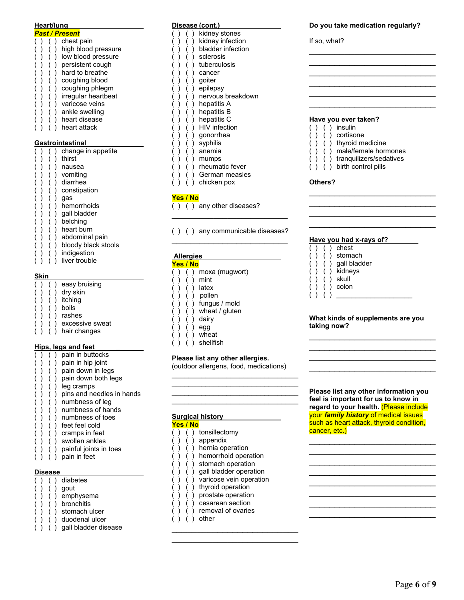| Heart/lung                      |  |                         |  |                         |  |  |  |
|---------------------------------|--|-------------------------|--|-------------------------|--|--|--|
| <b>Past / Present</b>           |  |                         |  |                         |  |  |  |
|                                 |  |                         |  | chest pain              |  |  |  |
|                                 |  |                         |  | high blood pressure     |  |  |  |
|                                 |  | (<br>(                  |  | low blood pressure      |  |  |  |
|                                 |  |                         |  | persistent cough        |  |  |  |
|                                 |  |                         |  | hard to breathe         |  |  |  |
|                                 |  |                         |  | coughing blood          |  |  |  |
|                                 |  |                         |  | coughing phlegm         |  |  |  |
|                                 |  | )<br>)                  |  | irregular heartbeat     |  |  |  |
| ( ( ( ( ( ( ( ( ( ( ( ( ( ( ( ( |  |                         |  | varicose veins          |  |  |  |
|                                 |  |                         |  | ankle swelling          |  |  |  |
|                                 |  | (<br>(                  |  | heart disease           |  |  |  |
|                                 |  |                         |  | heart attack            |  |  |  |
|                                 |  |                         |  |                         |  |  |  |
|                                 |  |                         |  | <b>Gastrointestinal</b> |  |  |  |
|                                 |  |                         |  | change in appetite      |  |  |  |
|                                 |  |                         |  | thirst                  |  |  |  |
|                                 |  |                         |  | nausea                  |  |  |  |
|                                 |  |                         |  | vomiting                |  |  |  |
|                                 |  |                         |  | diarrhea                |  |  |  |
|                                 |  |                         |  | constipation            |  |  |  |
|                                 |  |                         |  | gas                     |  |  |  |
| ( ) ( ) ( ) ( ) ( ) ( )         |  | ( ( ( ( ( ( ( ( ( ( ) ( |  | hemorrhoids             |  |  |  |
|                                 |  |                         |  | gall bladder            |  |  |  |
|                                 |  |                         |  | belching                |  |  |  |
|                                 |  |                         |  | heart burn              |  |  |  |

- $( )$   $( )$  abdominal pain
- ( ) ( ) bloody black stools
- ( ) ( ) indigestion
- ( ) ( ) liver trouble

#### **Skin**

|  |  | easy bruising   |
|--|--|-----------------|
|  |  | dry skin        |
|  |  | itching         |
|  |  | boils           |
|  |  | rashes          |
|  |  | excessive sweat |
|  |  | hair changes    |

#### **Hips, legs and feet \_**

- ( ) pain in buttocks  $( ) ( )$  ( ) pain in hip joint ( ) ( ) pain down in legs ( ) ( ) pain down both legs ( ) ( ) leg cramps ( ) ( ) pins and needles in hands  $( )$   $( )$  numbness of leg ( ) ( ) numbness of hands ( ) ( ) numbness of toes ( ) ( ) feet feel cold ( ) ( ) cramps in feet
- ( ) ( ) swollen ankles
- ( ) ( ) painful joints in toes
- ( ) ( ) pain in feet

#### **Disease**

|  | diabetes             |
|--|----------------------|
|  | qout                 |
|  | emphysema            |
|  | bronchitis           |
|  | stomach ulcer        |
|  | duodenal ulcer       |
|  | gall bladder disease |
|  |                      |

#### **Disease (cont.)**

- ( ) ( ) kidney stones
	- ( ) kidney infection
- ( ) ( ) bladder infection
- ( ) ( ) sclerosis
- ( ) ( ) tuberculosis
- ( ) ( ) cancer
- ( ) ( ) goiter
- ( ) ( ) epilepsy
- ( ) ( ) nervous breakdown
- ( ) ( ) hepatitis A
- ( ) ( ) hepatitis B
- ( ) ( ) hepatitis C
- ( ) ( ) HIV infection
- ( ) ( ) gonorrhea
- ( ) ( ) syphilis ( ) ( ) anemia
- ( ) ( ) mumps
- $( )$   $( )$  rheumatic fever
- ( ) ( ) German measles
- ( ) ( ) chicken pox

#### **Yes / No**

- ( ) ( ) any other diseases?
- ( ) ( ) any communicable diseases? \_\_\_\_\_\_\_\_\_\_\_\_\_\_\_\_\_\_\_\_\_\_\_\_\_

\_\_\_\_\_\_\_\_\_\_\_\_\_\_\_\_\_\_\_\_\_\_\_\_\_

#### **Allergies**

|  | Yes / No |                |
|--|----------|----------------|
|  |          | moxa (mugwort) |
|  |          | mint           |
|  |          | latex          |
|  |          | pollen         |
|  |          | fungus / mold  |
|  |          | wheat / gluten |
|  |          | dairy          |
|  |          | egg            |
|  |          | wheat          |
|  |          | shellfish      |

#### **Please list any other allergies.**

(outdoor allergens, food, medications)

\_\_\_\_\_\_\_\_\_\_\_\_\_\_\_\_\_\_\_\_\_\_\_\_\_\_\_\_\_\_ \_\_\_\_\_\_\_\_\_\_\_\_\_\_\_\_\_\_\_\_\_\_\_\_\_\_\_\_\_\_ \_\_\_\_\_\_\_\_\_\_\_\_\_\_\_\_\_\_\_\_\_\_\_\_\_\_\_\_\_\_

\_\_\_\_\_\_\_\_\_\_\_\_\_\_\_\_\_\_\_\_\_\_\_\_\_\_\_\_\_\_ **Surgical history Yes / No**  ( ) ( ) tonsillectomy ( ) ( ) appendix ( ) ( ) hernia operation ( ) ( ) hemorrhoid operation ( ) ( ) stomach operation ( ) ( ) gall bladder operation ( ) ( ) varicose vein operation ( ) ( ) thyroid operation ( ) ( ) prostate operation ( ) ( ) cesarean section ( ) removal of ovaries ( ) ( ) other \_\_\_\_\_\_\_\_\_\_\_\_\_\_\_\_\_\_\_\_\_\_\_\_\_

\_\_\_\_\_\_\_\_\_\_\_\_\_\_\_\_\_\_\_\_\_\_\_\_\_

#### **Do you take medication regularly?**

\_\_\_\_\_\_\_\_\_\_\_\_\_\_\_\_\_\_\_\_\_\_\_\_\_ \_\_\_\_\_\_\_\_\_\_\_\_\_\_\_\_\_\_\_\_\_\_\_\_\_ \_\_\_\_\_\_\_\_\_\_\_\_\_\_\_\_\_\_\_\_\_\_\_\_\_ \_\_\_\_\_\_\_\_\_\_\_\_\_\_\_\_\_\_\_\_\_\_\_\_\_ \_\_\_\_\_\_\_\_\_\_\_\_\_\_\_\_\_\_\_\_\_\_\_\_\_ \_\_\_\_\_\_\_\_\_\_\_\_\_\_\_\_\_\_\_\_\_\_\_\_\_

If so, what?

#### **Have you ever taken?**

- $( )$   $( )$  insulin
- ( ) ( ) cortisone
- $( )$   $( )$  thyroid medicine
- ( ) ( ) male/female hormones
- ( ) ( ) tranquilizers/sedatives

\_\_\_\_\_\_\_\_\_\_\_\_\_\_\_\_\_\_\_\_\_\_\_\_\_ \_\_\_\_\_\_\_\_\_\_\_\_\_\_\_\_\_\_\_\_\_\_\_\_\_ \_\_\_\_\_\_\_\_\_\_\_\_\_\_\_\_\_\_\_\_\_\_\_\_\_ \_\_\_\_\_\_\_\_\_\_\_\_\_\_\_\_\_\_\_\_\_\_\_\_\_

( ) ( ) birth control pills

#### **Others?**

#### ٦ **Have you had x-rays of?**

- ( ) ( ) chest
- ( ) ( ) stomach
- ( ) ( ) gall bladder
- ( ) ( ) kidneys
- ( ) ( ) skull
- ( ) ( ) colon
- $( ) ( )$

#### **What kinds of supplements are you taking now?**

\_\_\_\_\_\_\_\_\_\_\_\_\_\_\_\_\_\_\_\_\_\_\_\_\_ \_\_\_\_\_\_\_\_\_\_\_\_\_\_\_\_\_\_\_\_\_\_\_\_\_ \_\_\_\_\_\_\_\_\_\_\_\_\_\_\_\_\_\_\_\_\_\_\_\_\_ \_\_\_\_\_\_\_\_\_\_\_\_\_\_\_\_\_\_\_\_\_\_\_\_\_

**Please list any other information you feel is important for us to know in regard to your health.** (Please include your *family history* of medical issues such as heart attack, thyroid condition, cancer, etc.)

\_\_\_\_\_\_\_\_\_\_\_\_\_\_\_\_\_\_\_\_\_\_\_\_\_ \_\_\_\_\_\_\_\_\_\_\_\_\_\_\_\_\_\_\_\_\_\_\_\_\_ \_\_\_\_\_\_\_\_\_\_\_\_\_\_\_\_\_\_\_\_\_\_\_\_\_ \_\_\_\_\_\_\_\_\_\_\_\_\_\_\_\_\_\_\_\_\_\_\_\_\_ \_\_\_\_\_\_\_\_\_\_\_\_\_\_\_\_\_\_\_\_\_\_\_\_\_ \_\_\_\_\_\_\_\_\_\_\_\_\_\_\_\_\_\_\_\_\_\_\_\_\_ \_\_\_\_\_\_\_\_\_\_\_\_\_\_\_\_\_\_\_\_\_\_\_\_\_ \_\_\_\_\_\_\_\_\_\_\_\_\_\_\_\_\_\_\_\_\_\_\_\_\_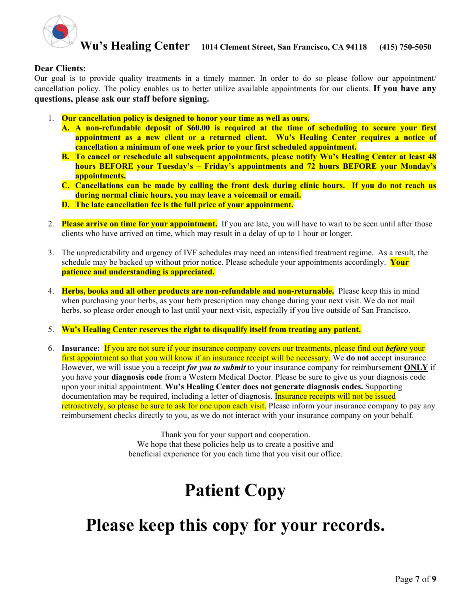

#### **Dear Clients:**

Our goal is to provide quality treatments in a timely manner. In order to do so please follow our appointment/ cancellation policy. The policy enables us to better utilize available appointments for our clients. **If you have any questions, please ask our staff before signing.**

- 1. **Our cancellation policy is designed to honor your time as well as ours.**
	- **A. A non-refundable deposit of \$60.00 is required at the time of scheduling to secure your first appointment as a new client or a returned client. Wu's Healing Center requires a notice of cancellation a minimum of one week prior to your first scheduled appointment.**
	- **B. To cancel or reschedule all subsequent appointments, please notify Wu's Healing Center at least 48 hours BEFORE your Tuesday's – Friday's appointments and 72 hours BEFORE your Monday's appointments.**
	- **C. Cancellations can be made by calling the front desk during clinic hours. If you do not reach us during normal clinic hours, you may leave a voicemail or email.**
	- **D. The late cancellation fee is the full price of your appointment.**
- 2. **Please arrive on time for your appointment.** If you are late, you will have to wait to be seen until after those clients who have arrived on time, which may result in a delay of up to 1 hour or longer.
- 3. The unpredictability and urgency of IVF schedules may need an intensified treatment regime. As a result, the schedule may be backed up without prior notice. Please schedule your appointments accordingly. **Your patience and understanding is appreciated.**
- 4. **Herbs, books and all other products are non-refundable and non-returnable.** Please keep this in mind when purchasing your herbs, as your herb prescription may change during your next visit. We do not mail herbs, so please order enough to last until your next visit, especially if you live outside of San Francisco.
- 5. **Wu's Healing Center reserves the right to disqualify itself from treating any patient.**
- 6. **Insurance:** If you are not sure if your insurance company covers our treatments, please find out *before* your first appointment so that you will know if an insurance receipt will be necessary. We **do not** accept insurance. However, we will issue you a receipt *for you to submit* to your insurance company for reimbursement **ONLY** if you have your **diagnosis code** from a Western Medical Doctor. Please be sure to give us your diagnosis code upon your initial appointment. **Wu's Healing Center does not generate diagnosis codes.** Supporting documentation may be required, including a letter of diagnosis. Insurance receipts will not be issued retroactively, so please be sure to ask for one upon each visit. Please inform your insurance company to pay any reimbursement checks directly to you, as we do not interact with your insurance company on your behalf.

Thank you for your support and cooperation. We hope that these policies help us to create a positive and beneficial experience for you each time that you visit our office.

# **Patient Copy**

# **Please keep this copy for your records.**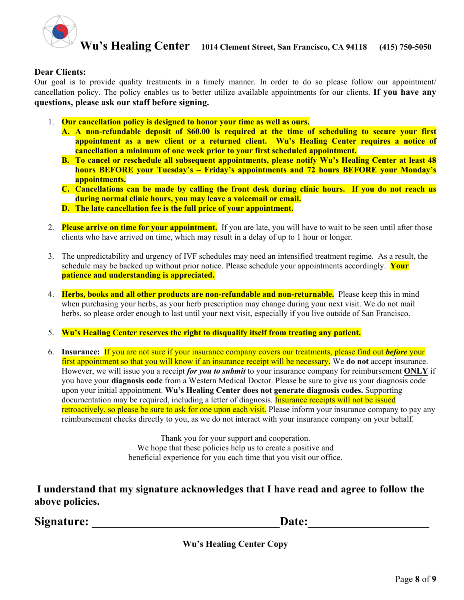

#### **Dear Clients:**

Our goal is to provide quality treatments in a timely manner. In order to do so please follow our appointment/ cancellation policy. The policy enables us to better utilize available appointments for our clients. **If you have any questions, please ask our staff before signing.**

- 1. **Our cancellation policy is designed to honor your time as well as ours.**
	- **A. A non-refundable deposit of \$60.00 is required at the time of scheduling to secure your first appointment as a new client or a returned client. Wu's Healing Center requires a notice of cancellation a minimum of one week prior to your first scheduled appointment.**
	- **B. To cancel or reschedule all subsequent appointments, please notify Wu's Healing Center at least 48 hours BEFORE your Tuesday's – Friday's appointments and 72 hours BEFORE your Monday's appointments.**
	- **C. Cancellations can be made by calling the front desk during clinic hours. If you do not reach us during normal clinic hours, you may leave a voicemail or email.**
	- **D. The late cancellation fee is the full price of your appointment.**
- 2. **Please arrive on time for your appointment.** If you are late, you will have to wait to be seen until after those clients who have arrived on time, which may result in a delay of up to 1 hour or longer.
- 3. The unpredictability and urgency of IVF schedules may need an intensified treatment regime. As a result, the schedule may be backed up without prior notice. Please schedule your appointments accordingly. **Your patience and understanding is appreciated.**
- 4. **Herbs, books and all other products are non-refundable and non-returnable.** Please keep this in mind when purchasing your herbs, as your herb prescription may change during your next visit. We do not mail herbs, so please order enough to last until your next visit, especially if you live outside of San Francisco.
- 5. **Wu's Healing Center reserves the right to disqualify itself from treating any patient.**
- 6. **Insurance:** If you are not sure if your insurance company covers our treatments, please find out *before* your first appointment so that you will know if an insurance receipt will be necessary. We **do not** accept insurance. However, we will issue you a receipt *for you to submit* to your insurance company for reimbursement **ONLY** if you have your **diagnosis code** from a Western Medical Doctor. Please be sure to give us your diagnosis code upon your initial appointment. **Wu's Healing Center does not generate diagnosis codes.** Supporting documentation may be required, including a letter of diagnosis. Insurance receipts will not be issued retroactively, so please be sure to ask for one upon each visit. Please inform your insurance company to pay any reimbursement checks directly to you, as we do not interact with your insurance company on your behalf.

Thank you for your support and cooperation. We hope that these policies help us to create a positive and beneficial experience for you each time that you visit our office.

**I understand that my signature acknowledges that I have read and agree to follow the above policies.** 

Signature: **Example 2.1 and 2.1 and 2.1 and 2.1 and 2.1 and 2.1 and 2.1 and 2.1 and 2.1 and 2.1 and 2.1 and 2.1 and 2.1 and 2.1 and 2.1 and 2.1 and 2.1 and 2.1 and 2.1 and 2.1 and 2.1 and 2.1 and 2.1 and 2.1 and 2.1 and 2.** 

**Wu's Healing Center Copy**